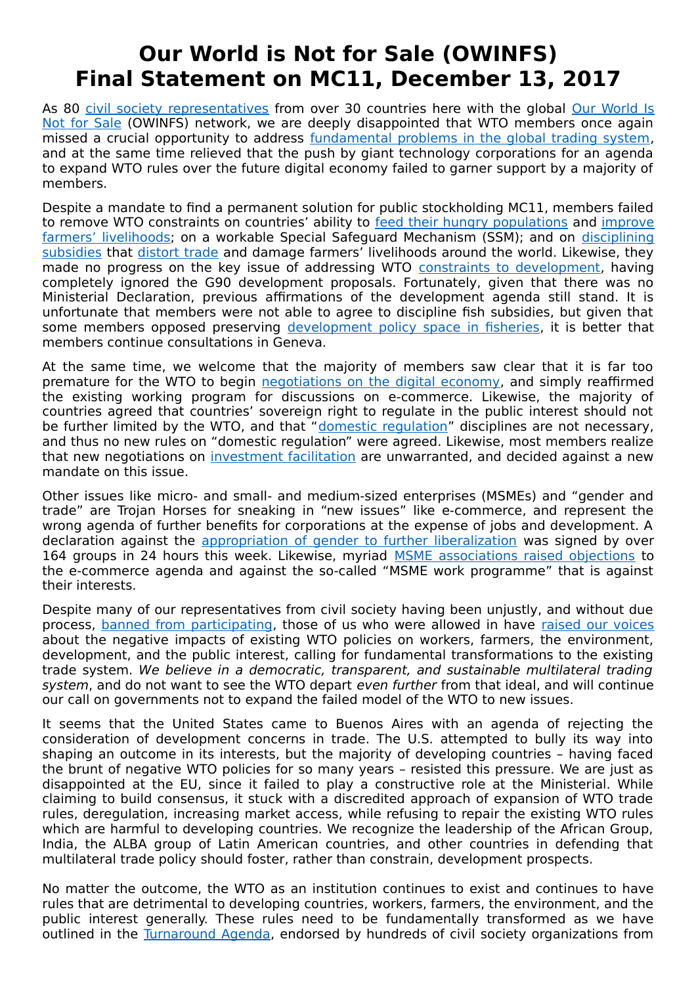# **Our World is Not for Sale (OWINFS) Final Statement on MC11, December 13, 2017**

As 80 [civil society representatives](http://ourworldisnotforsale.net/2017/R_CSO_Press_contacts.pdf) from over 30 countries here with the global [Our World Is](http://www.ourworldisnotforsale.net/) [Not for Sale](http://www.ourworldisnotforsale.net/) (OWINFS) network, we are deeply disappointed that WTO members once again missed a crucial opportunity to address [fundamental problems in the global trading system,](http://ourworldisnotforsale.net/2017/Global_MC11_agenda.pdf) and at the same time relieved that the push by giant technology corporations for an agenda to expand WTO rules over the future digital economy failed to garner support by a majority of members.

Despite a mandate to find a permanent solution for public stockholding MC11, members failed to remove WTO constraints on countries' ability to [feed their hungry populations](http://ourworldisnotforsale.net/2017/R_agriculture_fisheries.pdf) and [improve](http://ourworldisnotforsale.net/2017/DTE_Food_security.pdf) [farmers' livelihoods;](http://ourworldisnotforsale.net/2017/DTE_Food_security.pdf) on a workable Special Safeguard Mechanism (SSM); and on [disciplining](http://ourworldisnotforsale.net/2017/TWN_Agriculture.pdf) [subsidies](http://ourworldisnotforsale.net/2017/TWN_Agriculture.pdf) that [distort trade](http://notforsale.mayfirst.org/en/agricultural-price-crisis) and damage farmers' livelihoods around the world. Likewise, they made no progress on the key issue of addressing WTO [constraints to development,](http://ourworldisnotforsale.net/2017/TWN_Africa.pdf) having completely ignored the G90 development proposals. Fortunately, given that there was no Ministerial Declaration, previous affirmations of the development agenda still stand. It is unfortunate that members were not able to agree to discipline fish subsidies, but given that some members opposed preserving [development policy space in fisheries,](http://ourworldisnotforsale.net/2017/PANG_Fisheries.pdf) it is better that members continue consultations in Geneva.

At the same time, we welcome that the majority of members saw clear that it is far too premature for the WTO to begin [negotiations on the digital economy,](http://ourworldisnotforsale.net/2017/R_OWINFS_new_issues.pdf) and simply reaffirmed the existing working program for discussions on e-commerce. Likewise, the majority of countries agreed that countries' sovereign right to regulate in the public interest should not be further limited by the WTO, and that ["domestic regulation"](http://ourworldisnotforsale.net/2017/TWN_DRD_analysis.pdf) disciplines are not necessary, and thus no new rules on "domestic regulation" were agreed. Likewise, most members realize that new negotiations on [investment facilitation](http://ourworldisnotforsale.net/2017/Investment_rebuttal.pdf) are unwarranted, and decided against a new mandate on this issue.

Other issues like micro- and small- and medium-sized enterprises (MSMEs) and "gender and trade" are Trojan Horses for sneaking in "new issues" like e-commerce, and represent the wrong agenda of further benefits for corporations at the expense of jobs and development. A declaration against the [appropriation of gender to further liberalization](http://ourworldisnotforsale.net/2017/R_OWINFS_gender.pdf) was signed by over 164 groups in 24 hours this week. Likewise, myriad [MSME associations raised objections](http://ourworldisnotforsale.net/2017/R_MSMEs_reject.pdf) to the e-commerce agenda and against the so-called "MSME work programme" that is against their interests.

Despite many of our representatives from civil society having been unjustly, and without due process, [banned from participating,](http://notforsale.activism.info/2017/R_Disaccreditation.docx) those of us who were allowed in have [raised our voices](http://ourworldisnotforsale.net/2017/R_protest.pdf) about the negative impacts of existing WTO policies on workers, farmers, the environment, development, and the public interest, calling for fundamental transformations to the existing trade system. We believe in a democratic, transparent, and sustainable multilateral trading system, and do not want to see the WTO depart even further from that ideal, and will continue our call on governments not to expand the failed model of the WTO to new issues.

It seems that the United States came to Buenos Aires with an agenda of rejecting the consideration of development concerns in trade. The U.S. attempted to bully its way into shaping an outcome in its interests, but the majority of developing countries – having faced the brunt of negative WTO policies for so many years – resisted this pressure. We are just as disappointed at the EU, since it failed to play a constructive role at the Ministerial. While claiming to build consensus, it stuck with a discredited approach of expansion of WTO trade rules, deregulation, increasing market access, while refusing to repair the existing WTO rules which are harmful to developing countries. We recognize the leadership of the African Group, India, the ALBA group of Latin American countries, and other countries in defending that multilateral trade policy should foster, rather than constrain, development prospects.

No matter the outcome, the WTO as an institution continues to exist and continues to have rules that are detrimental to developing countries, workers, farmers, the environment, and the public interest generally. These rules need to be fundamentally transformed as we have outlined in the [Turnaround Agenda,](http://ourworldisnotforsale.net/2013/OWINFS_WTO_stmt.pdf) endorsed by hundreds of civil society organizations from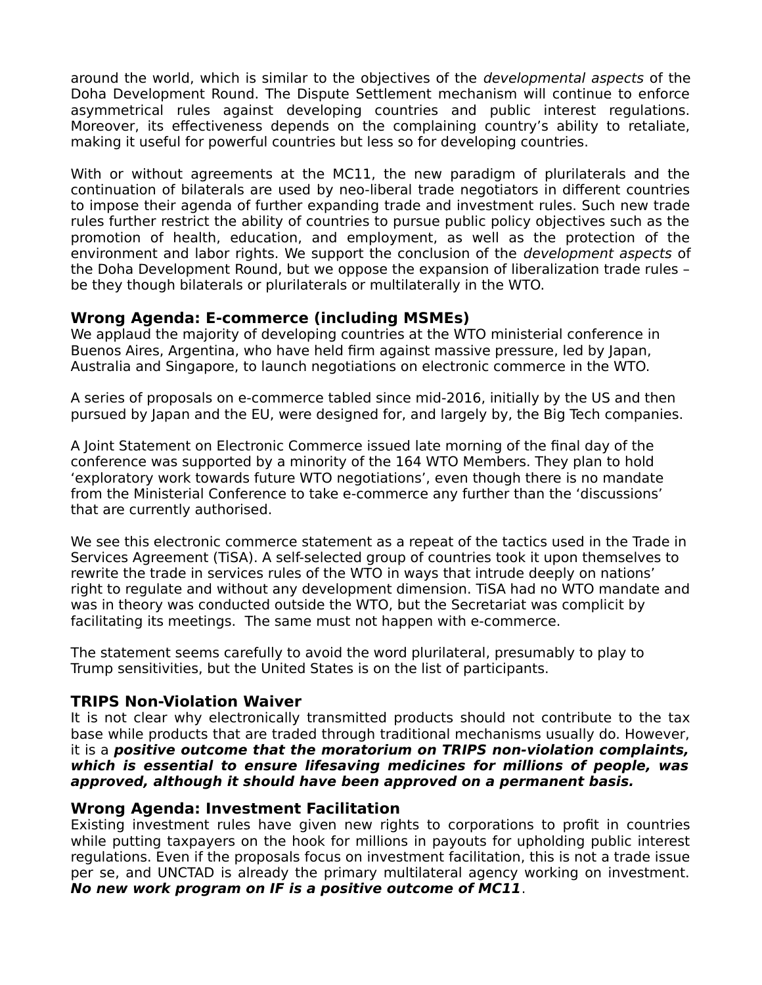around the world, which is similar to the objectives of the developmental aspects of the Doha Development Round. The Dispute Settlement mechanism will continue to enforce asymmetrical rules against developing countries and public interest regulations. Moreover, its effectiveness depends on the complaining country's ability to retaliate, making it useful for powerful countries but less so for developing countries.

With or without agreements at the MC11, the new paradigm of plurilaterals and the continuation of bilaterals are used by neo-liberal trade negotiators in different countries to impose their agenda of further expanding trade and investment rules. Such new trade rules further restrict the ability of countries to pursue public policy objectives such as the promotion of health, education, and employment, as well as the protection of the environment and labor rights. We support the conclusion of the development aspects of the Doha Development Round, but we oppose the expansion of liberalization trade rules – be they though bilaterals or plurilaterals or multilaterally in the WTO.

# **Wrong Agenda: E-commerce (including MSMEs)**

We applaud the majority of developing countries at the WTO ministerial conference in Buenos Aires, Argentina, who have held firm against massive pressure, led by Japan, Australia and Singapore, to launch negotiations on electronic commerce in the WTO.

A series of proposals on e-commerce tabled since mid-2016, initially by the US and then pursued by Japan and the EU, were designed for, and largely by, the Big Tech companies.

A Joint Statement on Electronic Commerce issued late morning of the final day of the conference was supported by a minority of the 164 WTO Members. They plan to hold 'exploratory work towards future WTO negotiations', even though there is no mandate from the Ministerial Conference to take e-commerce any further than the 'discussions' that are currently authorised.

We see this electronic commerce statement as a repeat of the tactics used in the Trade in Services Agreement (TiSA). A self-selected group of countries took it upon themselves to rewrite the trade in services rules of the WTO in ways that intrude deeply on nations' right to regulate and without any development dimension. TiSA had no WTO mandate and was in theory was conducted outside the WTO, but the Secretariat was complicit by facilitating its meetings. The same must not happen with e-commerce.

The statement seems carefully to avoid the word plurilateral, presumably to play to Trump sensitivities, but the United States is on the list of participants.

# **TRIPS Non-Violation Waiver**

It is not clear why electronically transmitted products should not contribute to the tax base while products that are traded through traditional mechanisms usually do. However, it is a **positive outcome that the moratorium on TRIPS non-violation complaints, which is essential to ensure lifesaving medicines for millions of people, was approved, although it should have been approved on a permanent basis.**

# **Wrong Agenda: Investment Facilitation**

Existing investment rules have given new rights to corporations to profit in countries while putting taxpayers on the hook for millions in payouts for upholding public interest regulations. Even if the proposals focus on investment facilitation, this is not a trade issue per se, and UNCTAD is already the primary multilateral agency working on investment. **No new work program on IF is a positive outcome of MC11**.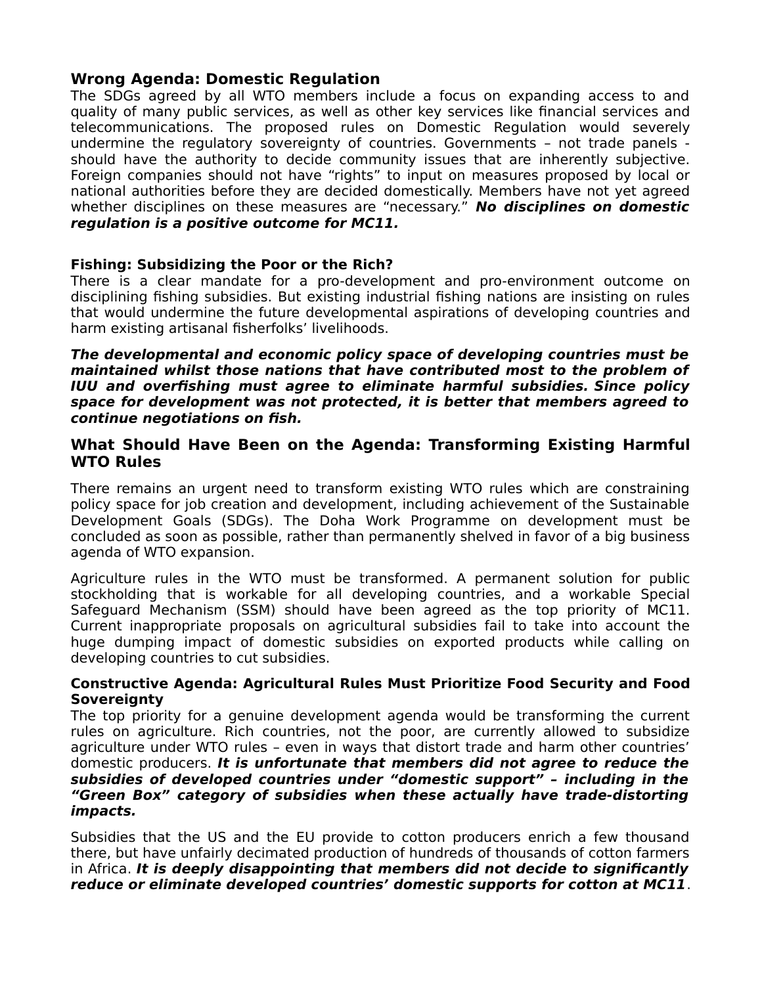# **Wrong Agenda: Domestic Regulation**

The SDGs agreed by all WTO members include a focus on expanding access to and quality of many public services, as well as other key services like financial services and telecommunications. The proposed rules on Domestic Regulation would severely undermine the regulatory sovereignty of countries. Governments – not trade panels should have the authority to decide community issues that are inherently subjective. Foreign companies should not have "rights" to input on measures proposed by local or national authorities before they are decided domestically. Members have not yet agreed whether disciplines on these measures are "necessary." **No disciplines on domestic regulation is a positive outcome for MC11.**

### **Fishing: Subsidizing the Poor or the Rich?**

There is a clear mandate for a pro-development and pro-environment outcome on disciplining fishing subsidies. But existing industrial fishing nations are insisting on rules that would undermine the future developmental aspirations of developing countries and harm existing artisanal fisherfolks' livelihoods.

**The developmental and economic policy space of developing countries must be maintained whilst those nations that have contributed most to the problem of IUU and overfishing must agree to eliminate harmful subsidies. Since policy space for development was not protected, it is better that members agreed to continue negotiations on fish.**

## **What Should Have Been on the Agenda: Transforming Existing Harmful WTO Rules**

There remains an urgent need to transform existing WTO rules which are constraining policy space for job creation and development, including achievement of the Sustainable Development Goals (SDGs). The Doha Work Programme on development must be concluded as soon as possible, rather than permanently shelved in favor of a big business agenda of WTO expansion.

Agriculture rules in the WTO must be transformed. A permanent solution for public stockholding that is workable for all developing countries, and a workable Special Safeguard Mechanism (SSM) should have been agreed as the top priority of MC11. Current inappropriate proposals on agricultural subsidies fail to take into account the huge dumping impact of domestic subsidies on exported products while calling on developing countries to cut subsidies.

#### **Constructive Agenda: Agricultural Rules Must Prioritize Food Security and Food Sovereignty**

The top priority for a genuine development agenda would be transforming the current rules on agriculture. Rich countries, not the poor, are currently allowed to subsidize agriculture under WTO rules – even in ways that distort trade and harm other countries' domestic producers. **It is unfortunate that members did not agree to reduce the subsidies of developed countries under "domestic support" – including in the "Green Box" category of subsidies when these actually have trade-distorting impacts.**

Subsidies that the US and the EU provide to cotton producers enrich a few thousand there, but have unfairly decimated production of hundreds of thousands of cotton farmers in Africa. **It is deeply disappointing that members did not decide to significantly reduce or eliminate developed countries' domestic supports for cotton at MC11**.